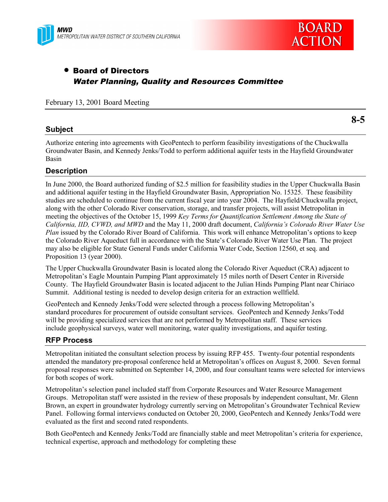



# • Board of Directors Water Planning, Quality and Resources Committee

February 13, 2001 Board Meeting

# **Subject**

**8-5**

Authorize entering into agreements with GeoPentech to perform feasibility investigations of the Chuckwalla Groundwater Basin, and Kennedy Jenks/Todd to perform additional aquifer tests in the Hayfield Groundwater Basin

# **Description**

In June 2000, the Board authorized funding of \$2.5 million for feasibility studies in the Upper Chuckwalla Basin and additional aquifer testing in the Hayfield Groundwater Basin, Appropriation No. 15325. These feasibility studies are scheduled to continue from the current fiscal year into year 2004. The Hayfield/Chuckwalla project, along with the other Colorado River conservation, storage, and transfer projects, will assist Metropolitan in meeting the objectives of the October 15, 1999 *Key Terms for Quantification Settlement Among the State of California, IID, CVWD, and MWD* and the May 11, 2000 draft document, *California's Colorado River Water Use Plan* issued by the Colorado River Board of California. This work will enhance Metropolitan's options to keep the Colorado River Aqueduct full in accordance with the State's Colorado River Water Use Plan. The project may also be eligible for State General Funds under California Water Code, Section 12560, et seq. and Proposition 13 (year 2000).

The Upper Chuckwalla Groundwater Basin is located along the Colorado River Aqueduct (CRA) adjacent to Metropolitan's Eagle Mountain Pumping Plant approximately 15 miles north of Desert Center in Riverside County. The Hayfield Groundwater Basin is located adjacent to the Julian Hinds Pumping Plant near Chiriaco Summit. Additional testing is needed to develop design criteria for an extraction wellfield.

GeoPentech and Kennedy Jenks/Todd were selected through a process following Metropolitan's standard procedures for procurement of outside consultant services. GeoPentech and Kennedy Jenks/Todd will be providing specialized services that are not performed by Metropolitan staff. These services include geophysical surveys, water well monitoring, water quality investigations, and aquifer testing.

# **RFP Process**

Metropolitan initiated the consultant selection process by issuing RFP 455. Twenty-four potential respondents attended the mandatory pre-proposal conference held at Metropolitan's offices on August 8, 2000. Seven formal proposal responses were submitted on September 14, 2000, and four consultant teams were selected for interviews for both scopes of work.

Metropolitan's selection panel included staff from Corporate Resources and Water Resource Management Groups. Metropolitan staff were assisted in the review of these proposals by independent consultant, Mr. Glenn Brown, an expert in groundwater hydrology currently serving on Metropolitan's Groundwater Technical Review Panel. Following formal interviews conducted on October 20, 2000, GeoPentech and Kennedy Jenks/Todd were evaluated as the first and second rated respondents.

Both GeoPentech and Kennedy Jenks/Todd are financially stable and meet Metropolitan's criteria for experience, technical expertise, approach and methodology for completing these